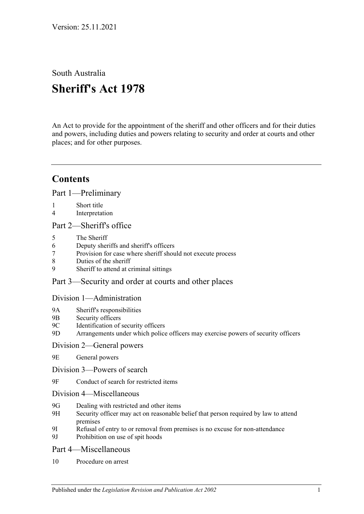# South Australia **Sheriff's Act 1978**

An Act to provide for the appointment of the sheriff and other officers and for their duties and powers, including duties and powers relating to security and order at courts and other places; and for other purposes.

# **Contents**

[Part 1—Preliminary](#page-1-0)

- 1 [Short title](#page-1-1)
- 4 [Interpretation](#page-1-2)

#### [Part 2—Sheriff's office](#page-2-0)

- 5 [The Sheriff](#page-2-1)
- 6 [Deputy sheriffs and sheriff's officers](#page-3-0)
- 7 [Provision for case where sheriff should not execute process](#page-3-1)
- 8 [Duties of the sheriff](#page-4-0)
- 9 [Sheriff to attend at criminal sittings](#page-4-1)

## [Part 3—Security and order at courts and other places](#page-4-2)

## [Division 1—Administration](#page-4-3)

- 9A [Sheriff's responsibilities](#page-4-4)
- 9B [Security officers](#page-4-5)
- 9C [Identification of security officers](#page-4-6)
- 9D [Arrangements under which police officers may exercise powers of security officers](#page-5-0)

#### [Division 2—General powers](#page-5-1)

- 9E [General powers](#page-5-2)
- [Division 3—Powers of search](#page-6-0)
- 9F [Conduct of search for restricted items](#page-6-1)
- [Division 4—Miscellaneous](#page-9-0)
- 9G [Dealing with restricted and other items](#page-9-1)
- 9H [Security officer may act on reasonable belief that person required by law to attend](#page-9-2)  [premises](#page-9-2)
- 9I [Refusal of entry to or removal from premises is](#page-9-3) no excuse for non-attendance
- 9J [Prohibition on use of spit hoods](#page-10-0)

#### [Part 4—Miscellaneous](#page-10-1)

10 [Procedure on arrest](#page-10-2)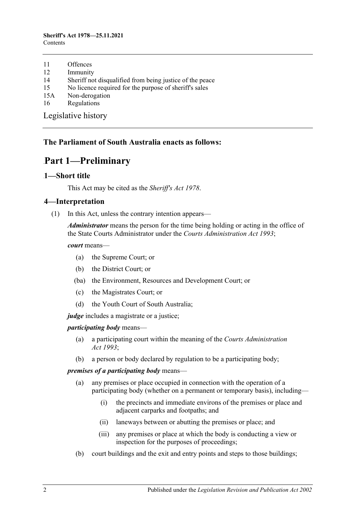#### **Sheriff's Act 1978—25.11.2021** Contents

- 11 [Offences](#page-10-3)
- 12 [Immunity](#page-10-4)
- 14 [Sheriff not disqualified from being justice of the peace](#page-10-5)
- 15 [No licence required for the purpose of sheriff's sales](#page-11-0)
- 15A [Non-derogation](#page-11-1)
- 16 [Regulations](#page-11-2)

[Legislative history](#page-13-0)

#### <span id="page-1-0"></span>**The Parliament of South Australia enacts as follows:**

# Part 1-Preliminary

#### <span id="page-1-1"></span>0B**1—Short title**

This Act may be cited as the *Sheriff's Act 1978*.

#### <span id="page-1-2"></span>1B**4—Interpretation**

(1) In this Act, unless the contrary intention appears—

*Administrator* means the person for the time being holding or acting in the office of the State Courts Administrator under the *[Courts Administration Act](http://www.legislation.sa.gov.au/index.aspx?action=legref&type=act&legtitle=Courts%20Administration%20Act%201993) 1993*;

#### *court* means—

- (a) the Supreme Court; or
- (b) the District Court; or
- (ba) the Environment, Resources and Development Court; or
- (c) the Magistrates Court; or
- (d) the Youth Court of South Australia;

*judge* includes a magistrate or a justice;

#### *participating body* means—

- (a) a participating court within the meaning of the *[Courts Administration](http://www.legislation.sa.gov.au/index.aspx?action=legref&type=act&legtitle=Courts%20Administration%20Act%201993)  Act [1993](http://www.legislation.sa.gov.au/index.aspx?action=legref&type=act&legtitle=Courts%20Administration%20Act%201993)*;
- (b) a person or body declared by regulation to be a participating body;

#### *premises of a participating body* means—

- (a) any premises or place occupied in connection with the operation of a participating body (whether on a permanent or temporary basis), including—
	- (i) the precincts and immediate environs of the premises or place and adjacent carparks and footpaths; and
	- (ii) laneways between or abutting the premises or place; and
	- (iii) any premises or place at which the body is conducting a view or inspection for the purposes of proceedings;
- (b) court buildings and the exit and entry points and steps to those buildings;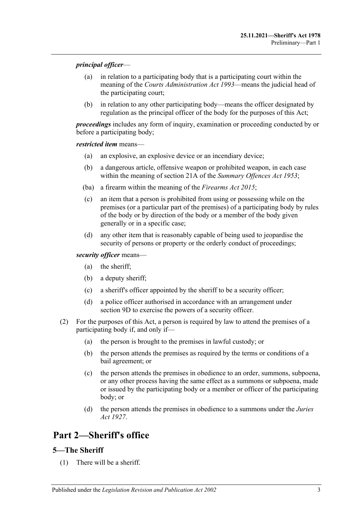#### *principal officer*—

- (a) in relation to a participating body that is a participating court within the meaning of the *[Courts Administration Act](http://www.legislation.sa.gov.au/index.aspx?action=legref&type=act&legtitle=Courts%20Administration%20Act%201993) 1993*—means the judicial head of the participating court;
- (b) in relation to any other participating body—means the officer designated by regulation as the principal officer of the body for the purposes of this Act;

*proceedings* includes any form of inquiry, examination or proceeding conducted by or before a participating body;

#### *restricted item* means—

- (a) an explosive, an explosive device or an incendiary device;
- (b) a dangerous article, offensive weapon or prohibited weapon, in each case within the meaning of section 21A of the *[Summary Offences Act](http://www.legislation.sa.gov.au/index.aspx?action=legref&type=act&legtitle=Summary%20Offences%20Act%201953) 1953*;
- (ba) a firearm within the meaning of the *[Firearms Act](http://www.legislation.sa.gov.au/index.aspx?action=legref&type=act&legtitle=Firearms%20Act%202015) 2015*;
- (c) an item that a person is prohibited from using or possessing while on the premises (or a particular part of the premises) of a participating body by rules of the body or by direction of the body or a member of the body given generally or in a specific case;
- (d) any other item that is reasonably capable of being used to jeopardise the security of persons or property or the orderly conduct of proceedings;

#### *security officer* means—

- (a) the sheriff;
- (b) a deputy sheriff;
- (c) a sheriff's officer appointed by the sheriff to be a security officer;
- (d) a police officer authorised in accordance with an arrangement under [section](#page-5-0) 9D to exercise the powers of a security officer.
- (2) For the purposes of this Act, a person is required by law to attend the premises of a participating body if, and only if—
	- (a) the person is brought to the premises in lawful custody; or
	- (b) the person attends the premises as required by the terms or conditions of a bail agreement; or
	- (c) the person attends the premises in obedience to an order, summons, subpoena, or any other process having the same effect as a summons or subpoena, made or issued by the participating body or a member or officer of the participating body; or
	- (d) the person attends the premises in obedience to a summons under the *[Juries](http://www.legislation.sa.gov.au/index.aspx?action=legref&type=act&legtitle=Juries%20Act%201927)  Act [1927](http://www.legislation.sa.gov.au/index.aspx?action=legref&type=act&legtitle=Juries%20Act%201927)*.

# <span id="page-2-0"></span>30B**Part 2—Sheriff's office**

# <span id="page-2-1"></span>5—The Sheriff

(1) There will be a sheriff.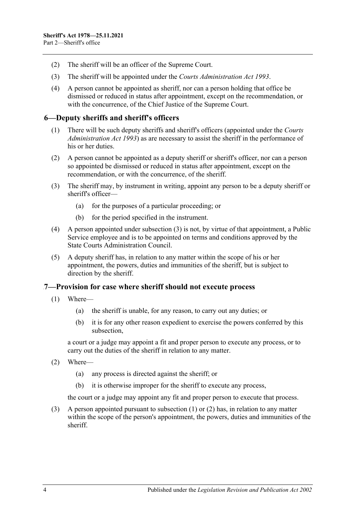- (2) The sheriff will be an officer of the Supreme Court.
- (3) The sheriff will be appointed under the *[Courts Administration Act](http://www.legislation.sa.gov.au/index.aspx?action=legref&type=act&legtitle=Courts%20Administration%20Act%201993) 1993*.
- (4) A person cannot be appointed as sheriff, nor can a person holding that office be dismissed or reduced in status after appointment, except on the recommendation, or with the concurrence, of the Chief Justice of the Supreme Court.

## <span id="page-3-0"></span>3B**6—Deputy sheriffs and sheriff's officers**

- (1) There will be such deputy sheriffs and sheriff's officers (appointed under the *[Courts](http://www.legislation.sa.gov.au/index.aspx?action=legref&type=act&legtitle=Courts%20Administration%20Act%201993)  [Administration Act](http://www.legislation.sa.gov.au/index.aspx?action=legref&type=act&legtitle=Courts%20Administration%20Act%201993) 1993*) as are necessary to assist the sheriff in the performance of his or her duties.
- (2) A person cannot be appointed as a deputy sheriff or sheriff's officer, nor can a person so appointed be dismissed or reduced in status after appointment, except on the recommendation, or with the concurrence, of the sheriff.
- <span id="page-3-2"></span>(3) The sheriff may, by instrument in writing, appoint any person to be a deputy sheriff or sheriff's officer—
	- (a) for the purposes of a particular proceeding; or
	- (b) for the period specified in the instrument.
- (4) A person appointed under [subsection](#page-3-2) (3) is not, by virtue of that appointment, a Public Service employee and is to be appointed on terms and conditions approved by the State Courts Administration Council.
- (5) A deputy sheriff has, in relation to any matter within the scope of his or her appointment, the powers, duties and immunities of the sheriff, but is subject to direction by the sheriff.

#### <span id="page-3-3"></span><span id="page-3-1"></span>4B**7—Provision for case where sheriff should not execute process**

- (1) Where—
	- (a) the sheriff is unable, for any reason, to carry out any duties; or
	- (b) it is for any other reason expedient to exercise the powers conferred by this subsection,

a court or a judge may appoint a fit and proper person to execute any process, or to carry out the duties of the sheriff in relation to any matter.

- <span id="page-3-4"></span>(2) Where—
	- (a) any process is directed against the sheriff; or
	- (b) it is otherwise improper for the sheriff to execute any process,

the court or a judge may appoint any fit and proper person to execute that process.

(3) A person appointed pursuant to [subsection](#page-3-3) (1) or [\(2\)](#page-3-4) has, in relation to any matter within the scope of the person's appointment, the powers, duties and immunities of the sheriff.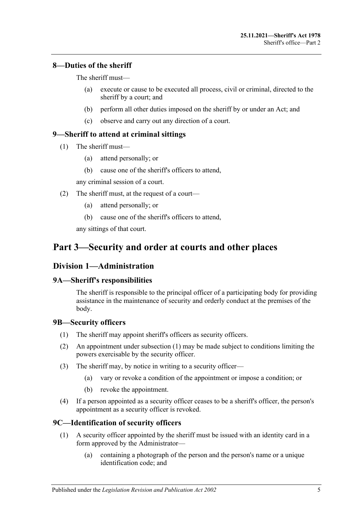## <span id="page-4-0"></span>5B**8—Duties of the sheriff**

The sheriff must—

- (a) execute or cause to be executed all process, civil or criminal, directed to the sheriff by a court; and
- (b) perform all other duties imposed on the sheriff by or under an Act; and
- (c) observe and carry out any direction of a court.

# <span id="page-4-1"></span>6B**9—Sheriff to attend at criminal sittings**

- (1) The sheriff must—
	- (a) attend personally; or
	- (b) cause one of the sheriff's officers to attend,

any criminal session of a court.

- (2) The sheriff must, at the request of a court—
	- (a) attend personally; or
	- (b) cause one of the sheriff's officers to attend,

any sittings of that court.

# <span id="page-4-3"></span><span id="page-4-2"></span>31B**Part 3—Security and order at courts and other places**

# 24B**Division 1—Administration**

## <span id="page-4-4"></span>14B**9A—Sheriff's responsibilities**

The sheriff is responsible to the principal officer of a participating body for providing assistance in the maintenance of security and orderly conduct at the premises of the body.

## <span id="page-4-7"></span><span id="page-4-5"></span>15B**9B—Security officers**

- (1) The sheriff may appoint sheriff's officers as security officers.
- (2) An appointment under [subsection](#page-4-7) (1) may be made subject to conditions limiting the powers exercisable by the security officer.
- (3) The sheriff may, by notice in writing to a security officer—
	- (a) vary or revoke a condition of the appointment or impose a condition; or
	- (b) revoke the appointment.
- (4) If a person appointed as a security officer ceases to be a sheriff's officer, the person's appointment as a security officer is revoked.

## <span id="page-4-6"></span>16B**9C—Identification of security officers**

- (1) A security officer appointed by the sheriff must be issued with an identity card in a form approved by the Administrator—
	- (a) containing a photograph of the person and the person's name or a unique identification code; and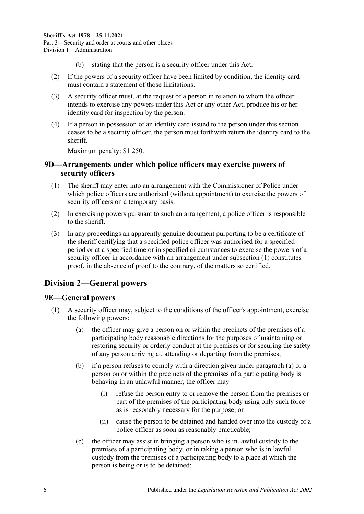- (b) stating that the person is a security officer under this Act.
- (2) If the powers of a security officer have been limited by condition, the identity card must contain a statement of those limitations.
- (3) A security officer must, at the request of a person in relation to whom the officer intends to exercise any powers under this Act or any other Act, produce his or her identity card for inspection by the person.
- (4) If a person in possession of an identity card issued to the person under this section ceases to be a security officer, the person must forthwith return the identity card to the sheriff.

Maximum penalty: \$1 250.

#### <span id="page-5-0"></span>17B**9D—Arrangements under which police officers may exercise powers of security officers**

- <span id="page-5-3"></span>(1) The sheriff may enter into an arrangement with the Commissioner of Police under which police officers are authorised (without appointment) to exercise the powers of security officers on a temporary basis.
- (2) In exercising powers pursuant to such an arrangement, a police officer is responsible to the sheriff.
- (3) In any proceedings an apparently genuine document purporting to be a certificate of the sheriff certifying that a specified police officer was authorised for a specified period or at a specified time or in specified circumstances to exercise the powers of a security officer in accordance with an arrangement under [subsection](#page-5-3) (1) constitutes proof, in the absence of proof to the contrary, of the matters so certified.

# <span id="page-5-1"></span>25B**Division 2—General powers**

## <span id="page-5-2"></span>18B**9E—General powers**

- <span id="page-5-4"></span>(1) A security officer may, subject to the conditions of the officer's appointment, exercise the following powers:
	- (a) the officer may give a person on or within the precincts of the premises of a participating body reasonable directions for the purposes of maintaining or restoring security or orderly conduct at the premises or for securing the safety of any person arriving at, attending or departing from the premises;
	- (b) if a person refuses to comply with a direction given under [paragraph](#page-5-4) (a) or a person on or within the precincts of the premises of a participating body is behaving in an unlawful manner, the officer may—
		- (i) refuse the person entry to or remove the person from the premises or part of the premises of the participating body using only such force as is reasonably necessary for the purpose; or
		- (ii) cause the person to be detained and handed over into the custody of a police officer as soon as reasonably practicable;
	- (c) the officer may assist in bringing a person who is in lawful custody to the premises of a participating body, or in taking a person who is in lawful custody from the premises of a participating body to a place at which the person is being or is to be detained;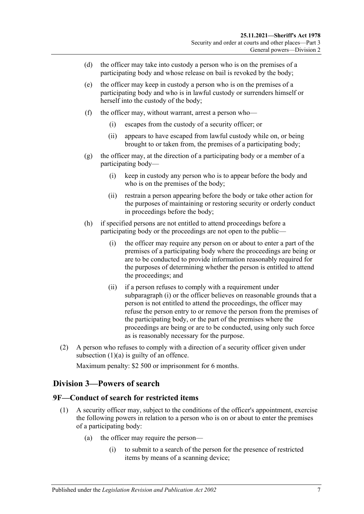- (d) the officer may take into custody a person who is on the premises of a participating body and whose release on bail is revoked by the body;
- (e) the officer may keep in custody a person who is on the premises of a participating body and who is in lawful custody or surrenders himself or herself into the custody of the body;
- (f) the officer may, without warrant, arrest a person who—
	- (i) escapes from the custody of a security officer; or
	- (ii) appears to have escaped from lawful custody while on, or being brought to or taken from, the premises of a participating body;
- (g) the officer may, at the direction of a participating body or a member of a participating body—
	- (i) keep in custody any person who is to appear before the body and who is on the premises of the body;
	- (ii) restrain a person appearing before the body or take other action for the purposes of maintaining or restoring security or orderly conduct in proceedings before the body;
- <span id="page-6-2"></span>(h) if specified persons are not entitled to attend proceedings before a participating body or the proceedings are not open to the public—
	- (i) the officer may require any person on or about to enter a part of the premises of a participating body where the proceedings are being or are to be conducted to provide information reasonably required for the purposes of determining whether the person is entitled to attend the proceedings; and
	- (ii) if a person refuses to comply with a requirement under [subparagraph](#page-6-2) (i) or the officer believes on reasonable grounds that a person is not entitled to attend the proceedings, the officer may refuse the person entry to or remove the person from the premises of the participating body, or the part of the premises where the proceedings are being or are to be conducted, using only such force as is reasonably necessary for the purpose.
- (2) A person who refuses to comply with a direction of a security officer given under [subsection](#page-5-4)  $(1)(a)$  is guilty of an offence.

Maximum penalty: \$2 500 or imprisonment for 6 months.

## <span id="page-6-0"></span>26B**Division 3—Powers of search**

#### <span id="page-6-3"></span><span id="page-6-1"></span>19B**9F—Conduct of search for restricted items**

- <span id="page-6-4"></span>(1) A security officer may, subject to the conditions of the officer's appointment, exercise the following powers in relation to a person who is on or about to enter the premises of a participating body:
	- (a) the officer may require the person—
		- (i) to submit to a search of the person for the presence of restricted items by means of a scanning device;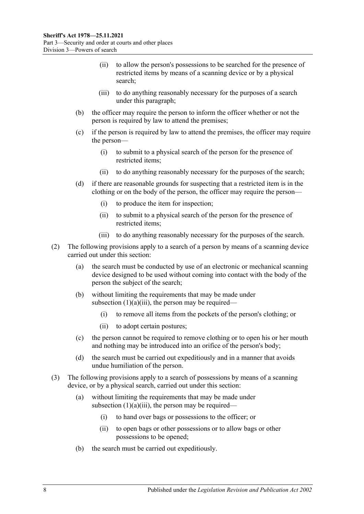- (ii) to allow the person's possessions to be searched for the presence of restricted items by means of a scanning device or by a physical search;
- (iii) to do anything reasonably necessary for the purposes of a search under this paragraph;
- <span id="page-7-3"></span><span id="page-7-0"></span>(b) the officer may require the person to inform the officer whether or not the person is required by law to attend the premises;
- (c) if the person is required by law to attend the premises, the officer may require the person—
	- (i) to submit to a physical search of the person for the presence of restricted items;
	- (ii) to do anything reasonably necessary for the purposes of the search;
- <span id="page-7-1"></span>(d) if there are reasonable grounds for suspecting that a restricted item is in the clothing or on the body of the person, the officer may require the person—
	- (i) to produce the item for inspection;
	- (ii) to submit to a physical search of the person for the presence of restricted items;
	- (iii) to do anything reasonably necessary for the purposes of the search.
- <span id="page-7-2"></span>(2) The following provisions apply to a search of a person by means of a scanning device carried out under this section:
	- (a) the search must be conducted by use of an electronic or mechanical scanning device designed to be used without coming into contact with the body of the person the subject of the search;
	- (b) without limiting the requirements that may be made under [subsection](#page-7-0)  $(1)(a)(iii)$ , the person may be required—
		- (i) to remove all items from the pockets of the person's clothing; or
		- (ii) to adopt certain postures;
	- (c) the person cannot be required to remove clothing or to open his or her mouth and nothing may be introduced into an orifice of the person's body;
	- (d) the search must be carried out expeditiously and in a manner that avoids undue humiliation of the person.
- (3) The following provisions apply to a search of possessions by means of a scanning device, or by a physical search, carried out under this section:
	- (a) without limiting the requirements that may be made under [subsection](#page-7-0)  $(1)(a)(iii)$ , the person may be required—
		- (i) to hand over bags or possessions to the officer; or
		- (ii) to open bags or other possessions or to allow bags or other possessions to be opened;
	- (b) the search must be carried out expeditiously.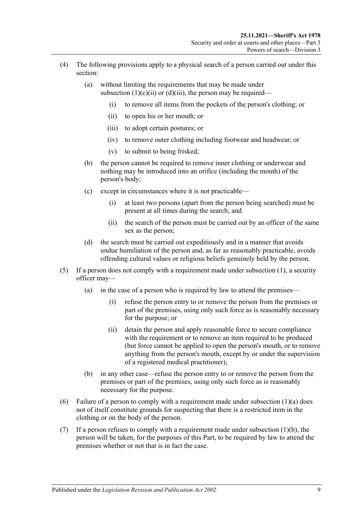- (4) The following provisions apply to a physical search of a person carried out under this section:
	- (a) without limiting the requirements that may be made under [subsection](#page-7-1)  $(1)(c)(ii)$  or  $(d)(iii)$ , the person may be required—
		- (i) to remove all items from the pockets of the person's clothing; or
		- (ii) to open his or her mouth; or
		- (iii) to adopt certain postures; or
		- (iv) to remove outer clothing including footwear and headwear; or
		- (v) to submit to being frisked;
	- (b) the person cannot be required to remove inner clothing or underwear and nothing may be introduced into an orifice (including the mouth) of the person's body;
	- (c) except in circumstances where it is not practicable—
		- (i) at least two persons (apart from the person being searched) must be present at all times during the search; and
		- (ii) the search of the person must be carried out by an officer of the same sex as the person;
	- (d) the search must be carried out expeditiously and in a manner that avoids undue humiliation of the person and, as far as reasonably practicable, avoids offending cultural values or religious beliefs genuinely held by the person.
- (5) If a person does not comply with a requirement made under [subsection](#page-6-3) (1), a security officer may—
	- (a) in the case of a person who is required by law to attend the premises—
		- (i) refuse the person entry to or remove the person from the premises or part of the premises, using only such force as is reasonably necessary for the purpose; or
		- (ii) detain the person and apply reasonable force to secure compliance with the requirement or to remove an item required to be produced (but force cannot be applied to open the person's mouth, or to remove anything from the person's mouth, except by or under the supervision of a registered medical practitioner);
	- (b) in any other case—refuse the person entry to or remove the person from the premises or part of the premises, using only such force as is reasonably necessary for the purpose.
- (6) Failure of a person to comply with a requirement made under [subsection](#page-6-4)  $(1)(a)$  does not of itself constitute grounds for suspecting that there is a restricted item in the clothing or on the body of the person.
- (7) If a person refuses to comply with a requirement made under [subsection](#page-7-3)  $(1)(b)$ , the person will be taken, for the purposes of this Part, to be required by law to attend the premises whether or not that is in fact the case.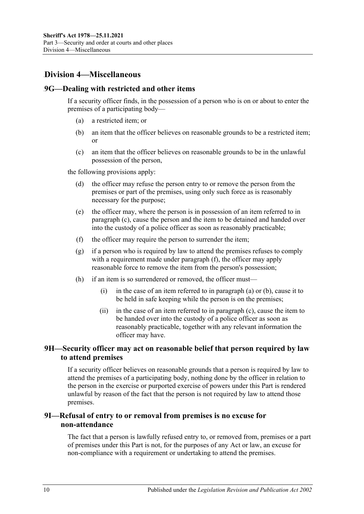# <span id="page-9-0"></span>27B**Division 4—Miscellaneous**

#### <span id="page-9-6"></span><span id="page-9-1"></span>20B**9G—Dealing with restricted and other items**

If a security officer finds, in the possession of a person who is on or about to enter the premises of a participating body—

- (a) a restricted item; or
- <span id="page-9-7"></span>(b) an item that the officer believes on reasonable grounds to be a restricted item; or
- <span id="page-9-4"></span>(c) an item that the officer believes on reasonable grounds to be in the unlawful possession of the person,

the following provisions apply:

- (d) the officer may refuse the person entry to or remove the person from the premises or part of the premises, using only such force as is reasonably necessary for the purpose;
- (e) the officer may, where the person is in possession of an item referred to in [paragraph](#page-9-4) (c), cause the person and the item to be detained and handed over into the custody of a police officer as soon as reasonably practicable;
- <span id="page-9-5"></span>(f) the officer may require the person to surrender the item;
- (g) if a person who is required by law to attend the premises refuses to comply with a requirement made under [paragraph](#page-9-5) (f), the officer may apply reasonable force to remove the item from the person's possession;
- (h) if an item is so surrendered or removed, the officer must
	- (i) in the case of an item referred to in [paragraph](#page-9-6) (a) or [\(b\),](#page-9-7) cause it to be held in safe keeping while the person is on the premises;
	- (ii) in the case of an item referred to in [paragraph](#page-9-4) (c), cause the item to be handed over into the custody of a police officer as soon as reasonably practicable, together with any relevant information the officer may have.

## <span id="page-9-2"></span>21B**9H—Security officer may act on reasonable belief that person required by law to attend premises**

If a security officer believes on reasonable grounds that a person is required by law to attend the premises of a participating body, nothing done by the officer in relation to the person in the exercise or purported exercise of powers under this Part is rendered unlawful by reason of the fact that the person is not required by law to attend those premises.

## <span id="page-9-3"></span>22B**9I—Refusal of entry to or removal from premises is no excuse for non-attendance**

The fact that a person is lawfully refused entry to, or removed from, premises or a part of premises under this Part is not, for the purposes of any Act or law, an excuse for non-compliance with a requirement or undertaking to attend the premises.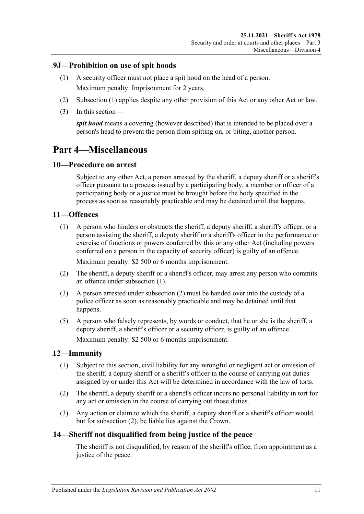## <span id="page-10-6"></span><span id="page-10-0"></span>23B**9J—Prohibition on use of spit hoods**

- (1) A security officer must not place a spit hood on the head of a person. Maximum penalty: Imprisonment for 2 years.
- (2) [Subsection](#page-10-6) (1) applies despite any other provision of this Act or any other Act or law.
- (3) In this section—

*spit hood* means a covering (however described) that is intended to be placed over a person's head to prevent the person from spitting on, or biting, another person.

# <span id="page-10-1"></span>32B**Part 4—Miscellaneous**

## <span id="page-10-2"></span>7B**10—Procedure on arrest**

Subject to any other Act, a person arrested by the sheriff, a deputy sheriff or a sheriff's officer pursuant to a process issued by a participating body, a member or officer of a participating body or a justice must be brought before the body specified in the process as soon as reasonably practicable and may be detained until that happens.

## <span id="page-10-7"></span><span id="page-10-3"></span>8B**11—Offences**

(1) A person who hinders or obstructs the sheriff, a deputy sheriff, a sheriff's officer, or a person assisting the sheriff, a deputy sheriff or a sheriff's officer in the performance or exercise of functions or powers conferred by this or any other Act (including powers conferred on a person in the capacity of security officer) is guilty of an offence.

Maximum penalty: \$2 500 or 6 months imprisonment.

- <span id="page-10-8"></span>(2) The sheriff, a deputy sheriff or a sheriff's officer, may arrest any person who commits an offence under [subsection](#page-10-7) (1).
- (3) A person arrested under [subsection](#page-10-8) (2) must be handed over into the custody of a police officer as soon as reasonably practicable and may be detained until that happens.
- (5) A person who falsely represents, by words or conduct, that he or she is the sheriff, a deputy sheriff, a sheriff's officer or a security officer, is guilty of an offence. Maximum penalty: \$2 500 or 6 months imprisonment.

## <span id="page-10-4"></span>9B**12—Immunity**

- (1) Subject to this section, civil liability for any wrongful or negligent act or omission of the sheriff, a deputy sheriff or a sheriff's officer in the course of carrying out duties assigned by or under this Act will be determined in accordance with the law of torts.
- <span id="page-10-9"></span>(2) The sheriff, a deputy sheriff or a sheriff's officer incurs no personal liability in tort for any act or omission in the course of carrying out those duties.
- (3) Any action or claim to which the sheriff, a deputy sheriff or a sheriff's officer would, but for [subsection](#page-10-9) (2), be liable lies against the Crown.

## <span id="page-10-5"></span>10B**14—Sheriff not disqualified from being justice of the peace**

The sheriff is not disqualified, by reason of the sheriff's office, from appointment as a justice of the peace.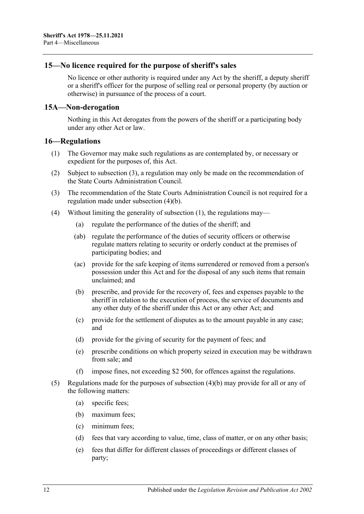#### <span id="page-11-0"></span>11B**15—No licence required for the purpose of sheriff's sales**

No licence or other authority is required under any Act by the sheriff, a deputy sheriff or a sheriff's officer for the purpose of selling real or personal property (by auction or otherwise) in pursuance of the process of a court.

#### <span id="page-11-1"></span>12B**15A—Non-derogation**

Nothing in this Act derogates from the powers of the sheriff or a participating body under any other Act or law.

## <span id="page-11-5"></span><span id="page-11-2"></span>13B**16—Regulations**

- (1) The Governor may make such regulations as are contemplated by, or necessary or expedient for the purposes of, this Act.
- (2) Subject to [subsection](#page-11-3) (3), a regulation may only be made on the recommendation of the State Courts Administration Council.
- <span id="page-11-3"></span>(3) The recommendation of the State Courts Administration Council is not required for a regulation made under [subsection](#page-11-4) (4)(b).
- <span id="page-11-4"></span>(4) Without limiting the generality of [subsection](#page-11-5) (1), the regulations may—
	- (a) regulate the performance of the duties of the sheriff; and
	- (ab) regulate the performance of the duties of security officers or otherwise regulate matters relating to security or orderly conduct at the premises of participating bodies; and
	- (ac) provide for the safe keeping of items surrendered or removed from a person's possession under this Act and for the disposal of any such items that remain unclaimed; and
	- (b) prescribe, and provide for the recovery of, fees and expenses payable to the sheriff in relation to the execution of process, the service of documents and any other duty of the sheriff under this Act or any other Act; and
	- (c) provide for the settlement of disputes as to the amount payable in any case; and
	- (d) provide for the giving of security for the payment of fees; and
	- (e) prescribe conditions on which property seized in execution may be withdrawn from sale; and
	- (f) impose fines, not exceeding \$2 500, for offences against the regulations.
- (5) Regulations made for the purposes of [subsection](#page-11-4) (4)(b) may provide for all or any of the following matters:
	- (a) specific fees;
	- (b) maximum fees;
	- (c) minimum fees;
	- (d) fees that vary according to value, time, class of matter, or on any other basis;
	- (e) fees that differ for different classes of proceedings or different classes of party;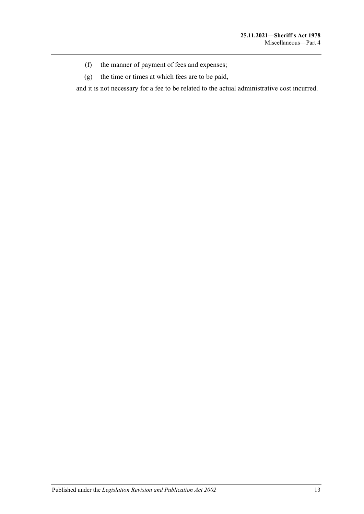- (f) the manner of payment of fees and expenses;
- (g) the time or times at which fees are to be paid,

and it is not necessary for a fee to be related to the actual administrative cost incurred.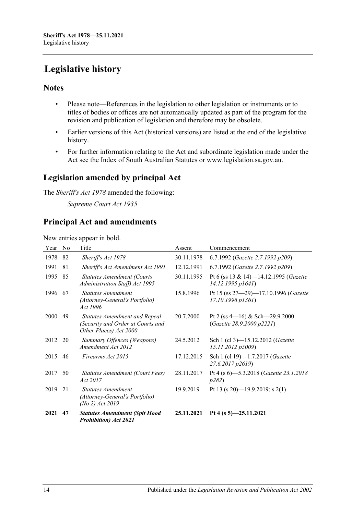# <span id="page-13-0"></span>**Legislative history**

## **Notes**

- Please note—References in the legislation to other legislation or instruments or to titles of bodies or offices are not automatically updated as part of the program for the revision and publication of legislation and therefore may be obsolete.
- Earlier versions of this Act (historical versions) are listed at the end of the legislative history.
- For further information relating to the Act and subordinate legislation made under the Act see the Index of South Australian Statutes or www.legislation.sa.gov.au.

# **Legislation amended by principal Act**

The *Sheriff's Act 1978* amended the following:

*Supreme Court Act 1935*

# **Principal Act and amendments**

New entries appear in bold.

| Year | No | Title                                                                                        | Assent     | Commencement                                                      |
|------|----|----------------------------------------------------------------------------------------------|------------|-------------------------------------------------------------------|
| 1978 | 82 | Sheriff's Act 1978                                                                           | 30.11.1978 | 6.7.1992 (Gazette 2.7.1992 p209)                                  |
| 1991 | 81 | Sheriff's Act Amendment Act 1991                                                             | 12.12.1991 | 6.7.1992 (Gazette 2.7.1992 p209)                                  |
| 1995 | 85 | <b>Statutes Amendment (Courts)</b><br>Administration Staff) Act 1995                         | 30.11.1995 | Pt 6 (ss 13 & 14)-14.12.1995 (Gazette<br>14.12.1995 p1641)        |
| 1996 | 67 | Statutes Amendment<br>(Attorney-General's Portfolio)<br>Act 1996                             | 15.8.1996  | Pt 15 (ss 27-29)-17.10.1996 (Gazette<br>$17.10.1996$ $p1361$ )    |
| 2000 | 49 | Statutes Amendment and Repeal<br>(Security and Order at Courts and<br>Other Places) Act 2000 | 20.7.2000  | Pt 2 (ss $4-16$ ) & Sch $-29.9.2000$<br>(Gazette 28.9.2000 p2221) |
| 2012 | 20 | Summary Offences (Weapons)<br>Amendment Act 2012                                             | 24.5.2012  | Sch 1 (cl 3)-15.12.2012 (Gazette<br>15.11.2012 p5009)             |
| 2015 | 46 | Firearms Act 2015                                                                            | 17.12.2015 | Sch 1 (cl 19)-1.7.2017 (Gazette<br>27.6.2017 p2619)               |
| 2017 | 50 | <b>Statutes Amendment (Court Fees)</b><br>Act 2017                                           | 28.11.2017 | Pt 4 (s 6)-5.3.2018 (Gazette 23.1.2018<br>p282)                   |
| 2019 | 21 | <b>Statutes Amendment</b><br>(Attorney-General's Portfolio)<br>(No 2) Act 2019               | 19.9.2019  | Pt 13 (s 20)—19.9.2019: s 2(1)                                    |
| 2021 | 47 | <b>Statutes Amendment (Spit Hood</b><br><b>Prohibition</b> ) Act 2021                        | 25.11.2021 | Pt 4 (s $5$ )-25.11.2021                                          |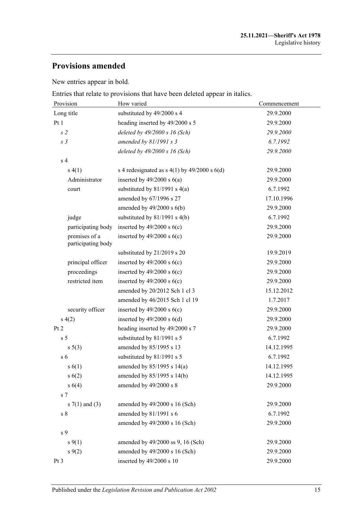# **Provisions amended**

New entries appear in bold.

Entries that relate to provisions that have been deleted appear in italics.

| Provision                           | How varied                                         | Commencement |
|-------------------------------------|----------------------------------------------------|--------------|
| Long title                          | substituted by 49/2000 s 4                         | 29.9.2000    |
| Pt1                                 | heading inserted by 49/2000 s 5                    | 29.9.2000    |
| s <sub>2</sub>                      | deleted by $49/2000 s$ 16 (Sch)                    | 29.9.2000    |
| s <sub>3</sub>                      | amended by $81/1991 s 3$                           | 6.7.1992     |
|                                     | deleted by $49/2000 s$ 16 (Sch)                    | 29.9.2000    |
| s <sub>4</sub>                      |                                                    |              |
| s(4(1))                             | s 4 redesignated as s $4(1)$ by $49/2000$ s $6(d)$ | 29.9.2000    |
| Administrator                       | inserted by $49/2000$ s $6(a)$                     | 29.9.2000    |
| court                               | substituted by $81/1991$ s $4(a)$                  | 6.7.1992     |
|                                     | amended by 67/1996 s 27                            | 17.10.1996   |
|                                     | amended by $49/2000$ s $6(b)$                      | 29.9.2000    |
| judge                               | substituted by $81/1991$ s $4(b)$                  | 6.7.1992     |
| participating body                  | inserted by $49/2000$ s $6(c)$                     | 29.9.2000    |
| premises of a<br>participating body | inserted by $49/2000$ s $6(c)$                     | 29.9.2000    |
|                                     | substituted by 21/2019 s 20                        | 19.9.2019    |
| principal officer                   | inserted by $49/2000$ s $6(c)$                     | 29.9.2000    |
| proceedings                         | inserted by $49/2000$ s $6(c)$                     | 29.9.2000    |
| restricted item                     | inserted by $49/2000$ s $6(c)$                     | 29.9.2000    |
|                                     | amended by 20/2012 Sch 1 cl 3                      | 15.12.2012   |
|                                     | amended by 46/2015 Sch 1 cl 19                     | 1.7.2017     |
| security officer                    | inserted by $49/2000$ s $6(c)$                     | 29.9.2000    |
| s(4(2)                              | inserted by $49/2000$ s $6(d)$                     | 29.9.2000    |
| Pt 2                                | heading inserted by 49/2000 s 7                    | 29.9.2000    |
| s <sub>5</sub>                      | substituted by 81/1991 s 5                         | 6.7.1992     |
| $s\ 5(3)$                           | amended by 85/1995 s 13                            | 14.12.1995   |
| s <sub>6</sub>                      | substituted by 81/1991 s 5                         | 6.7.1992     |
| s(6(1))                             | amended by 85/1995 s 14(a)                         | 14.12.1995   |
| s(6(2))                             | amended by 85/1995 s 14(b)                         | 14.12.1995   |
| s 6(4)                              | amended by 49/2000 s 8                             | 29.9.2000    |
| s <sub>7</sub>                      |                                                    |              |
| s $7(1)$ and $(3)$                  | amended by 49/2000 s 16 (Sch)                      | 29.9.2000    |
| s <sub>8</sub>                      | amended by 81/1991 s 6                             | 6.7.1992     |
|                                     | amended by 49/2000 s 16 (Sch)                      | 29.9.2000    |
| s 9                                 |                                                    |              |
| $s \, 9(1)$                         | amended by 49/2000 ss 9, 16 (Sch)                  | 29.9.2000    |
| $s \, 9(2)$                         | amended by 49/2000 s 16 (Sch)                      | 29.9.2000    |
| Pt 3                                | inserted by 49/2000 s 10                           | 29.9.2000    |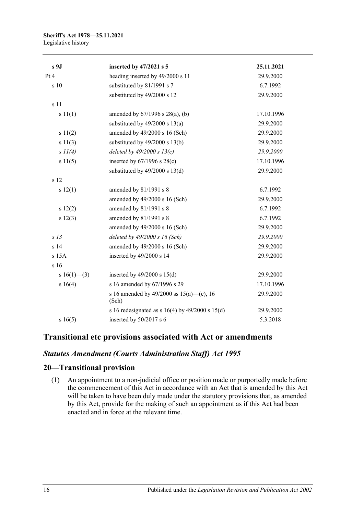| s <sub>9J</sub> | inserted by 47/2021 s 5                               | 25.11.2021 |
|-----------------|-------------------------------------------------------|------------|
| Pt 4            | heading inserted by 49/2000 s 11                      | 29.9.2000  |
| s 10            | substituted by 81/1991 s 7                            | 6.7.1992   |
|                 | substituted by 49/2000 s 12                           | 29.9.2000  |
| s 11            |                                                       |            |
| s 11(1)         | amended by $67/1996$ s $28(a)$ , (b)                  | 17.10.1996 |
|                 | substituted by $49/2000$ s $13(a)$                    | 29.9.2000  |
| s 11(2)         | amended by 49/2000 s 16 (Sch)                         | 29.9.2000  |
| s 11(3)         | substituted by $49/2000$ s $13(b)$                    | 29.9.2000  |
| $s \Pi(4)$      | deleted by $49/2000 s 13(c)$                          | 29.9.2000  |
| s 11(5)         | inserted by $67/1996$ s $28(c)$                       | 17.10.1996 |
|                 | substituted by $49/2000$ s $13(d)$                    | 29.9.2000  |
| s 12            |                                                       |            |
| s 12(1)         | amended by 81/1991 s 8                                | 6.7.1992   |
|                 | amended by 49/2000 s 16 (Sch)                         | 29.9.2000  |
| s 12(2)         | amended by 81/1991 s 8                                | 6.7.1992   |
| s 12(3)         | amended by 81/1991 s 8                                | 6.7.1992   |
|                 | amended by 49/2000 s 16 (Sch)                         | 29.9.2000  |
| s <sub>13</sub> | deleted by $49/2000 s 16$ (Sch)                       | 29.9.2000  |
| s 14            | amended by 49/2000 s 16 (Sch)                         | 29.9.2000  |
| s 15A           | inserted by 49/2000 s 14                              | 29.9.2000  |
| s 16            |                                                       |            |
| s $16(1)$ —(3)  | inserted by $49/2000$ s $15(d)$                       | 29.9.2000  |
| s 16(4)         | s 16 amended by 67/1996 s 29                          | 17.10.1996 |
|                 | s 16 amended by 49/2000 ss 15(a)—(c), 16<br>(Sch)     | 29.9.2000  |
|                 | s 16 redesignated as s $16(4)$ by $49/2000$ s $15(d)$ | 29.9.2000  |
| s16(5)          | inserted by 50/2017 s 6                               | 5.3.2018   |

# **Transitional etc provisions associated with Act or amendments**

## *Statutes Amendment (Courts Administration Staff) Act 1995*

# **20—Transitional provision**

(1) An appointment to a non-judicial office or position made or purportedly made before the commencement of this Act in accordance with an Act that is amended by this Act will be taken to have been duly made under the statutory provisions that, as amended by this Act, provide for the making of such an appointment as if this Act had been enacted and in force at the relevant time.